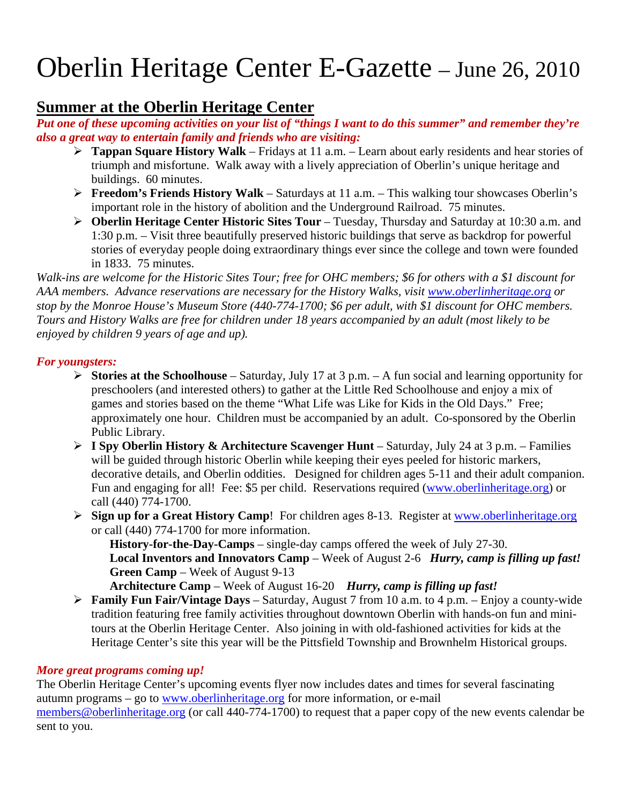# Oberlin Heritage Center E-Gazette – June 26, 2010

#### **Summer at the Oberlin Heritage Center**

*Put one of these upcoming activities on your list of "things I want to do this summer" and remember they're also a great way to entertain family and friends who are visiting:* 

- ¾ **Tappan Square History Walk** Fridays at 11 a.m. Learn about early residents and hear stories of triumph and misfortune. Walk away with a lively appreciation of Oberlin's unique heritage and buildings. 60 minutes.
- ¾ **Freedom's Friends History Walk** Saturdays at 11 a.m. This walking tour showcases Oberlin's important role in the history of abolition and the Underground Railroad. 75 minutes.
- ¾ **Oberlin Heritage Center Historic Sites Tour**  Tuesday, Thursday and Saturday at 10:30 a.m. and 1:30 p.m. – Visit three beautifully preserved historic buildings that serve as backdrop for powerful stories of everyday people doing extraordinary things ever since the college and town were founded in 1833. 75 minutes.

*Walk-ins are welcome for the Historic Sites Tour; free for OHC members; \$6 for others with a \$1 discount for AAA members. Advance reservations are necessary for the History Walks, visit www.oberlinheritage.org or stop by the Monroe House's Museum Store (440-774-1700; \$6 per adult, with \$1 discount for OHC members. Tours and History Walks are free for children under 18 years accompanied by an adult (most likely to be enjoyed by children 9 years of age and up).* 

#### *For youngsters:*

- ¾ **Stories at the Schoolhouse**  Saturday, July 17 at 3 p.m. A fun social and learning opportunity for preschoolers (and interested others) to gather at the Little Red Schoolhouse and enjoy a mix of games and stories based on the theme "What Life was Like for Kids in the Old Days." Free; approximately one hour. Children must be accompanied by an adult. Co-sponsored by the Oberlin Public Library.
- ¾ **I Spy Oberlin History & Architecture Scavenger Hunt** Saturday, July 24 at 3 p.m. Families will be guided through historic Oberlin while keeping their eyes peeled for historic markers, decorative details, and Oberlin oddities. Designed for children ages 5-11 and their adult companion. Fun and engaging for all! Fee: \$5 per child. Reservations required (www.oberlinheritage.org) or call (440) 774-1700.
- ¾ **Sign up for a Great History Camp**! For children ages 8-13. Register at www.oberlinheritage.org or call (440) 774-1700 for more information.

**History-for-the-Day-Camps** – single-day camps offered the week of July 27-30. **Local Inventors and Innovators Camp** – Week of August 2-6 *Hurry, camp is filling up fast!* **Green Camp** – Week of August 9-13

**Architecture Camp** – Week of August 16-20 *Hurry, camp is filling up fast!*

¾ **Family Fun Fair/Vintage Days** – Saturday, August 7 from 10 a.m. to 4 p.m. – Enjoy a county-wide tradition featuring free family activities throughout downtown Oberlin with hands-on fun and minitours at the Oberlin Heritage Center. Also joining in with old-fashioned activities for kids at the Heritage Center's site this year will be the Pittsfield Township and Brownhelm Historical groups.

#### *More great programs coming up!*

The Oberlin Heritage Center's upcoming events flyer now includes dates and times for several fascinating autumn programs – go to www.oberlinheritage.org for more information, or e-mail members@oberlinheritage.org (or call 440-774-1700) to request that a paper copy of the new events calendar be sent to you.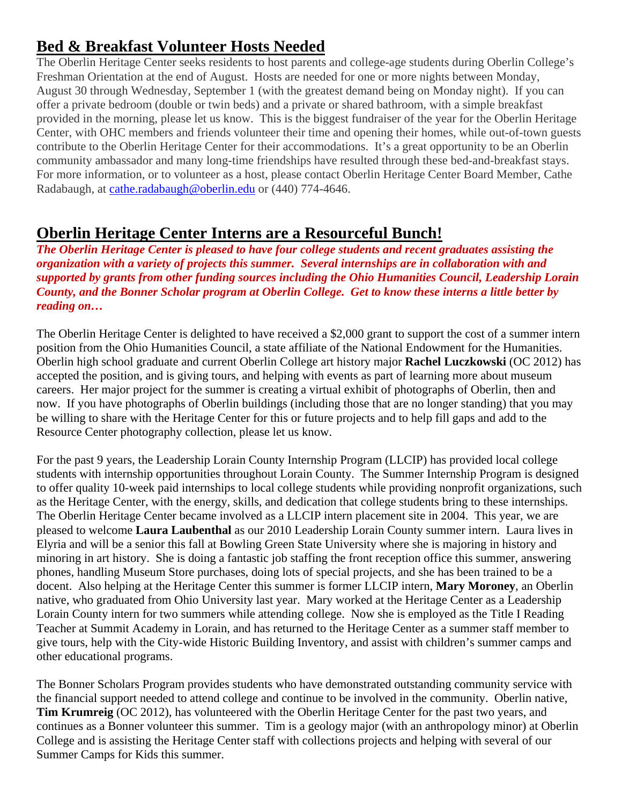# **Bed & Breakfast Volunteer Hosts Needed**

The Oberlin Heritage Center seeks residents to host parents and college-age students during Oberlin College's Freshman Orientation at the end of August. Hosts are needed for one or more nights between Monday, August 30 through Wednesday, September 1 (with the greatest demand being on Monday night). If you can offer a private bedroom (double or twin beds) and a private or shared bathroom, with a simple breakfast provided in the morning, please let us know. This is the biggest fundraiser of the year for the Oberlin Heritage Center, with OHC members and friends volunteer their time and opening their homes, while out-of-town guests contribute to the Oberlin Heritage Center for their accommodations. It's a great opportunity to be an Oberlin community ambassador and many long-time friendships have resulted through these bed-and-breakfast stays. For more information, or to volunteer as a host, please contact Oberlin Heritage Center Board Member, Cathe Radabaugh, at cathe.radabaugh@oberlin.edu or (440) 774-4646.

## **Oberlin Heritage Center Interns are a Resourceful Bunch!**

*The Oberlin Heritage Center is pleased to have four college students and recent graduates assisting the organization with a variety of projects this summer. Several internships are in collaboration with and supported by grants from other funding sources including the Ohio Humanities Council, Leadership Lorain County, and the Bonner Scholar program at Oberlin College. Get to know these interns a little better by reading on…* 

The Oberlin Heritage Center is delighted to have received a \$2,000 grant to support the cost of a summer intern position from the Ohio Humanities Council, a state affiliate of the National Endowment for the Humanities. Oberlin high school graduate and current Oberlin College art history major **Rachel Luczkowski** (OC 2012) has accepted the position, and is giving tours, and helping with events as part of learning more about museum careers. Her major project for the summer is creating a virtual exhibit of photographs of Oberlin, then and now. If you have photographs of Oberlin buildings (including those that are no longer standing) that you may be willing to share with the Heritage Center for this or future projects and to help fill gaps and add to the Resource Center photography collection, please let us know.

For the past 9 years, the Leadership Lorain County Internship Program (LLCIP) has provided local college students with internship opportunities throughout Lorain County. The Summer Internship Program is designed to offer quality 10-week paid internships to local college students while providing nonprofit organizations, such as the Heritage Center, with the energy, skills, and dedication that college students bring to these internships. The Oberlin Heritage Center became involved as a LLCIP intern placement site in 2004. This year, we are pleased to welcome **Laura Laubenthal** as our 2010 Leadership Lorain County summer intern. Laura lives in Elyria and will be a senior this fall at Bowling Green State University where she is majoring in history and minoring in art history. She is doing a fantastic job staffing the front reception office this summer, answering phones, handling Museum Store purchases, doing lots of special projects, and she has been trained to be a docent. Also helping at the Heritage Center this summer is former LLCIP intern, **Mary Moroney**, an Oberlin native, who graduated from Ohio University last year. Mary worked at the Heritage Center as a Leadership Lorain County intern for two summers while attending college. Now she is employed as the Title I Reading Teacher at Summit Academy in Lorain, and has returned to the Heritage Center as a summer staff member to give tours, help with the City-wide Historic Building Inventory, and assist with children's summer camps and other educational programs.

The Bonner Scholars Program provides students who have demonstrated outstanding community service with the financial support needed to attend college and continue to be involved in the community. Oberlin native, **Tim Krumreig** (OC 2012), has volunteered with the Oberlin Heritage Center for the past two years, and continues as a Bonner volunteer this summer. Tim is a geology major (with an anthropology minor) at Oberlin College and is assisting the Heritage Center staff with collections projects and helping with several of our Summer Camps for Kids this summer.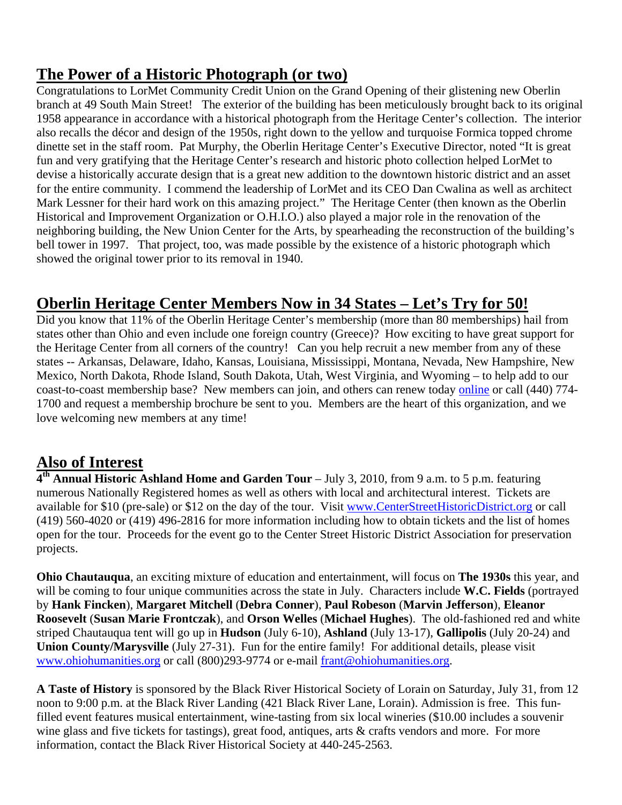## **The Power of a Historic Photograph (or two)**

Congratulations to LorMet Community Credit Union on the Grand Opening of their glistening new Oberlin branch at 49 South Main Street! The exterior of the building has been meticulously brought back to its original 1958 appearance in accordance with a historical photograph from the Heritage Center's collection. The interior also recalls the décor and design of the 1950s, right down to the yellow and turquoise Formica topped chrome dinette set in the staff room. Pat Murphy, the Oberlin Heritage Center's Executive Director, noted "It is great fun and very gratifying that the Heritage Center's research and historic photo collection helped LorMet to devise a historically accurate design that is a great new addition to the downtown historic district and an asset for the entire community. I commend the leadership of LorMet and its CEO Dan Cwalina as well as architect Mark Lessner for their hard work on this amazing project." The Heritage Center (then known as the Oberlin Historical and Improvement Organization or O.H.I.O.) also played a major role in the renovation of the neighboring building, the New Union Center for the Arts, by spearheading the reconstruction of the building's bell tower in 1997. That project, too, was made possible by the existence of a historic photograph which showed the original tower prior to its removal in 1940.

# **Oberlin Heritage Center Members Now in 34 States – Let's Try for 50!**

Did you know that 11% of the Oberlin Heritage Center's membership (more than 80 memberships) hail from states other than Ohio and even include one foreign country (Greece)? How exciting to have great support for the Heritage Center from all corners of the country! Can you help recruit a new member from any of these states -- Arkansas, Delaware, Idaho, Kansas, Louisiana, Mississippi, Montana, Nevada, New Hampshire, New Mexico, North Dakota, Rhode Island, South Dakota, Utah, West Virginia, and Wyoming – to help add to our coast-to-coast membership base? New members can join, and others can renew today online or call (440) 774- 1700 and request a membership brochure be sent to you. Members are the heart of this organization, and we love welcoming new members at any time!

### **Also of Interest**

**4th Annual Historic Ashland Home and Garden Tour** – July 3, 2010, from 9 a.m. to 5 p.m. featuring numerous Nationally Registered homes as well as others with local and architectural interest. Tickets are available for \$10 (pre-sale) or \$12 on the day of the tour. Visit www.CenterStreetHistoricDistrict.org or call (419) 560-4020 or (419) 496-2816 for more information including how to obtain tickets and the list of homes open for the tour. Proceeds for the event go to the Center Street Historic District Association for preservation projects.

**Ohio Chautauqua**, an exciting mixture of education and entertainment, will focus on **The 1930s** this year, and will be coming to four unique communities across the state in July. Characters include **W.C. Fields** (portrayed by **Hank Fincken**), **Margaret Mitchell** (**Debra Conner**), **Paul Robeson** (**Marvin Jefferson**), **Eleanor Roosevelt** (**Susan Marie Frontczak**), and **Orson Welles** (**Michael Hughes**). The old-fashioned red and white striped Chautauqua tent will go up in **Hudson** (July 6-10), **Ashland** (July 13-17), **Gallipolis** (July 20-24) and **Union County/Marysville** (July 27-31). Fun for the entire family! For additional details, please visit www.ohiohumanities.org or call (800)293-9774 or e-mail frant@ohiohumanities.org.

**A Taste of History** is sponsored by the Black River Historical Society of Lorain on Saturday, July 31, from 12 noon to 9:00 p.m. at the Black River Landing (421 Black River Lane, Lorain). Admission is free. This funfilled event features musical entertainment, wine-tasting from six local wineries (\$10.00 includes a souvenir wine glass and five tickets for tastings), great food, antiques, arts & crafts vendors and more. For more information, contact the Black River Historical Society at 440-245-2563.